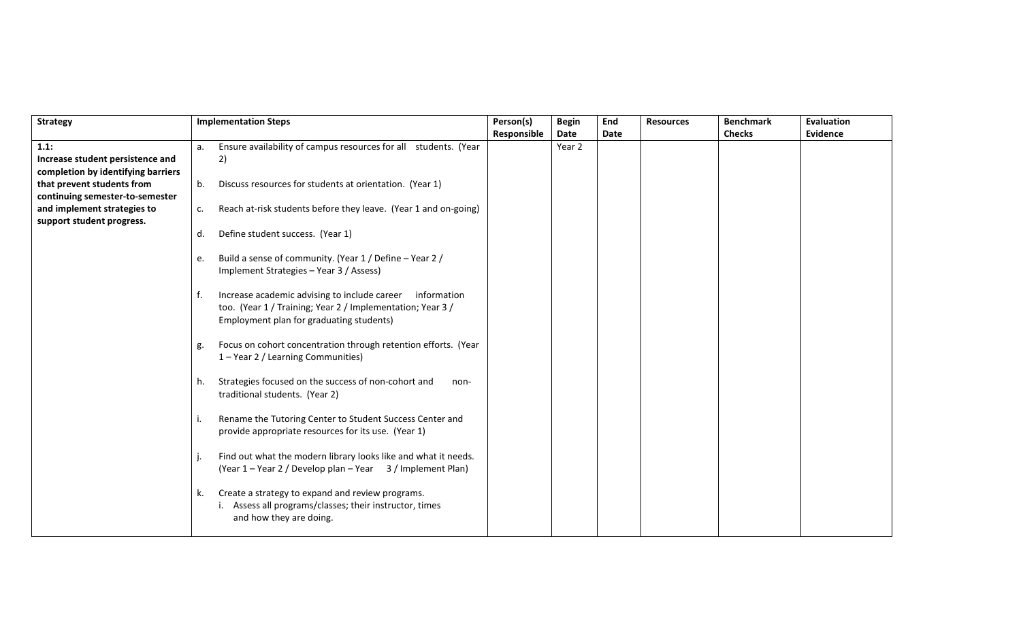| <b>Strategy</b>                    |    | <b>Implementation Steps</b>                                                                                                                                           | Person(s)   | <b>Begin</b> | End  | <b>Resources</b> | <b>Benchmark</b> | <b>Evaluation</b> |
|------------------------------------|----|-----------------------------------------------------------------------------------------------------------------------------------------------------------------------|-------------|--------------|------|------------------|------------------|-------------------|
|                                    |    |                                                                                                                                                                       | Responsible | Date         | Date |                  | <b>Checks</b>    | <b>Evidence</b>   |
| 1.1:                               | a. | Ensure availability of campus resources for all students. (Year                                                                                                       |             | Year 2       |      |                  |                  |                   |
| Increase student persistence and   |    | 2)                                                                                                                                                                    |             |              |      |                  |                  |                   |
| completion by identifying barriers |    |                                                                                                                                                                       |             |              |      |                  |                  |                   |
| that prevent students from         | b. | Discuss resources for students at orientation. (Year 1)                                                                                                               |             |              |      |                  |                  |                   |
| continuing semester-to-semester    |    |                                                                                                                                                                       |             |              |      |                  |                  |                   |
| and implement strategies to        | c. | Reach at-risk students before they leave. (Year 1 and on-going)                                                                                                       |             |              |      |                  |                  |                   |
| support student progress.          |    |                                                                                                                                                                       |             |              |      |                  |                  |                   |
|                                    | d. | Define student success. (Year 1)                                                                                                                                      |             |              |      |                  |                  |                   |
|                                    | e. | Build a sense of community. (Year 1 / Define - Year 2 /<br>Implement Strategies - Year 3 / Assess)                                                                    |             |              |      |                  |                  |                   |
|                                    | f. | Increase academic advising to include career<br>information<br>too. (Year 1 / Training; Year 2 / Implementation; Year 3 /<br>Employment plan for graduating students) |             |              |      |                  |                  |                   |
|                                    | g. | Focus on cohort concentration through retention efforts. (Year<br>1 - Year 2 / Learning Communities)                                                                  |             |              |      |                  |                  |                   |
|                                    | h. | Strategies focused on the success of non-cohort and<br>non-<br>traditional students. (Year 2)                                                                         |             |              |      |                  |                  |                   |
|                                    | j. | Rename the Tutoring Center to Student Success Center and<br>provide appropriate resources for its use. (Year 1)                                                       |             |              |      |                  |                  |                   |
|                                    |    | Find out what the modern library looks like and what it needs.<br>(Year 1 – Year 2 / Develop plan – Year 3 / Implement Plan)                                          |             |              |      |                  |                  |                   |
|                                    | k. | Create a strategy to expand and review programs.<br>Assess all programs/classes; their instructor, times<br>and how they are doing.                                   |             |              |      |                  |                  |                   |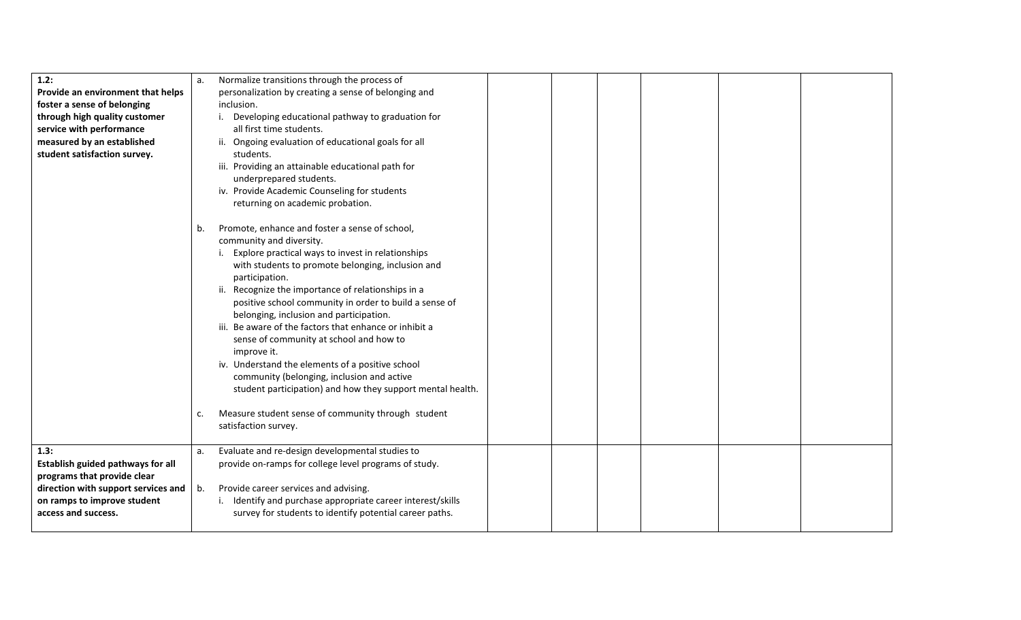| 1.2:<br>Provide an environment that helps<br>foster a sense of belonging<br>through high quality customer<br>service with performance<br>measured by an established<br>student satisfaction survey. | a.       | Normalize transitions through the process of<br>personalization by creating a sense of belonging and<br>inclusion.<br>Developing educational pathway to graduation for<br>i.<br>all first time students.<br>ii. Ongoing evaluation of educational goals for all<br>students.<br>iii. Providing an attainable educational path for<br>underprepared students.<br>iv. Provide Academic Counseling for students<br>returning on academic probation.                                                                                                                                                                                                                                                                                  |  |  |  |
|-----------------------------------------------------------------------------------------------------------------------------------------------------------------------------------------------------|----------|-----------------------------------------------------------------------------------------------------------------------------------------------------------------------------------------------------------------------------------------------------------------------------------------------------------------------------------------------------------------------------------------------------------------------------------------------------------------------------------------------------------------------------------------------------------------------------------------------------------------------------------------------------------------------------------------------------------------------------------|--|--|--|
|                                                                                                                                                                                                     | b.<br>c. | Promote, enhance and foster a sense of school,<br>community and diversity.<br>Explore practical ways to invest in relationships<br>with students to promote belonging, inclusion and<br>participation.<br>Recognize the importance of relationships in a<br>ii.<br>positive school community in order to build a sense of<br>belonging, inclusion and participation.<br>Be aware of the factors that enhance or inhibit a<br>sense of community at school and how to<br>improve it.<br>iv. Understand the elements of a positive school<br>community (belonging, inclusion and active<br>student participation) and how they support mental health.<br>Measure student sense of community through student<br>satisfaction survey. |  |  |  |
| 1.3:<br>Establish guided pathways for all<br>programs that provide clear<br>direction with support services and $\vert$<br>on ramps to improve student<br>access and success.                       | a.<br>b. | Evaluate and re-design developmental studies to<br>provide on-ramps for college level programs of study.<br>Provide career services and advising.<br>Identify and purchase appropriate career interest/skills<br>survey for students to identify potential career paths.                                                                                                                                                                                                                                                                                                                                                                                                                                                          |  |  |  |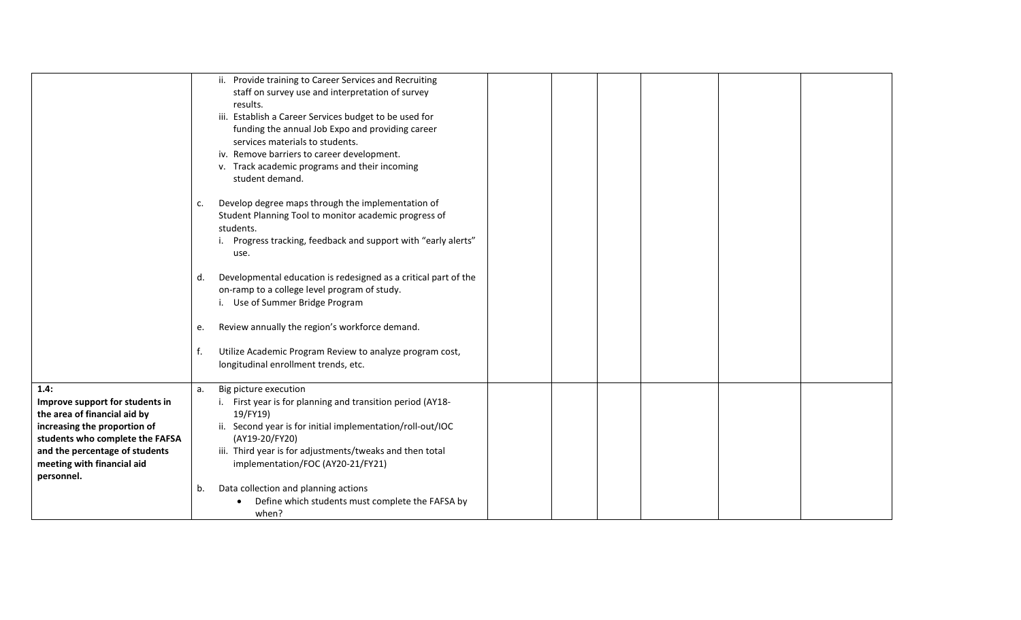|                                                                 | c.<br>d.<br>e.<br>f. | ii. Provide training to Career Services and Recruiting<br>staff on survey use and interpretation of survey<br>results.<br>iii. Establish a Career Services budget to be used for<br>funding the annual Job Expo and providing career<br>services materials to students.<br>iv. Remove barriers to career development.<br>v. Track academic programs and their incoming<br>student demand.<br>Develop degree maps through the implementation of<br>Student Planning Tool to monitor academic progress of<br>students.<br>Progress tracking, feedback and support with "early alerts"<br>use.<br>Developmental education is redesigned as a critical part of the<br>on-ramp to a college level program of study.<br>i. Use of Summer Bridge Program<br>Review annually the region's workforce demand.<br>Utilize Academic Program Review to analyze program cost,<br>longitudinal enrollment trends, etc. |  |  |  |
|-----------------------------------------------------------------|----------------------|---------------------------------------------------------------------------------------------------------------------------------------------------------------------------------------------------------------------------------------------------------------------------------------------------------------------------------------------------------------------------------------------------------------------------------------------------------------------------------------------------------------------------------------------------------------------------------------------------------------------------------------------------------------------------------------------------------------------------------------------------------------------------------------------------------------------------------------------------------------------------------------------------------|--|--|--|
|                                                                 |                      |                                                                                                                                                                                                                                                                                                                                                                                                                                                                                                                                                                                                                                                                                                                                                                                                                                                                                                         |  |  |  |
| 1.4:                                                            | a.                   | Big picture execution                                                                                                                                                                                                                                                                                                                                                                                                                                                                                                                                                                                                                                                                                                                                                                                                                                                                                   |  |  |  |
| Improve support for students in<br>the area of financial aid by |                      | i. First year is for planning and transition period (AY18-<br>19/FY19)                                                                                                                                                                                                                                                                                                                                                                                                                                                                                                                                                                                                                                                                                                                                                                                                                                  |  |  |  |
| increasing the proportion of                                    |                      | ii. Second year is for initial implementation/roll-out/IOC                                                                                                                                                                                                                                                                                                                                                                                                                                                                                                                                                                                                                                                                                                                                                                                                                                              |  |  |  |
| students who complete the FAFSA                                 |                      | (AY19-20/FY20)                                                                                                                                                                                                                                                                                                                                                                                                                                                                                                                                                                                                                                                                                                                                                                                                                                                                                          |  |  |  |
| and the percentage of students                                  |                      | iii. Third year is for adjustments/tweaks and then total                                                                                                                                                                                                                                                                                                                                                                                                                                                                                                                                                                                                                                                                                                                                                                                                                                                |  |  |  |
| meeting with financial aid                                      |                      | implementation/FOC (AY20-21/FY21)                                                                                                                                                                                                                                                                                                                                                                                                                                                                                                                                                                                                                                                                                                                                                                                                                                                                       |  |  |  |
| personnel.                                                      |                      |                                                                                                                                                                                                                                                                                                                                                                                                                                                                                                                                                                                                                                                                                                                                                                                                                                                                                                         |  |  |  |
|                                                                 | b.                   | Data collection and planning actions                                                                                                                                                                                                                                                                                                                                                                                                                                                                                                                                                                                                                                                                                                                                                                                                                                                                    |  |  |  |
|                                                                 |                      | Define which students must complete the FAFSA by                                                                                                                                                                                                                                                                                                                                                                                                                                                                                                                                                                                                                                                                                                                                                                                                                                                        |  |  |  |
|                                                                 |                      | when?                                                                                                                                                                                                                                                                                                                                                                                                                                                                                                                                                                                                                                                                                                                                                                                                                                                                                                   |  |  |  |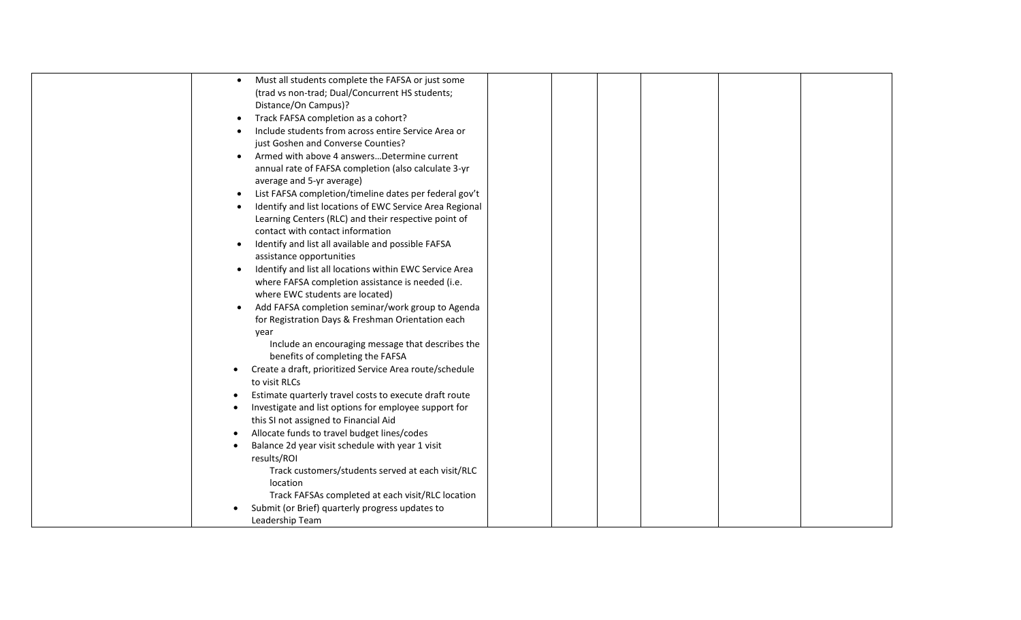| Must all students complete the FAFSA or just some<br>$\bullet$        |  |  |
|-----------------------------------------------------------------------|--|--|
| (trad vs non-trad; Dual/Concurrent HS students;                       |  |  |
| Distance/On Campus)?                                                  |  |  |
| Track FAFSA completion as a cohort?<br>$\bullet$                      |  |  |
| Include students from across entire Service Area or<br>$\bullet$      |  |  |
| just Goshen and Converse Counties?                                    |  |  |
| Armed with above 4 answersDetermine current                           |  |  |
| annual rate of FAFSA completion (also calculate 3-yr                  |  |  |
| average and 5-yr average)                                             |  |  |
| List FAFSA completion/timeline dates per federal gov't<br>$\bullet$   |  |  |
| Identify and list locations of EWC Service Area Regional<br>$\bullet$ |  |  |
| Learning Centers (RLC) and their respective point of                  |  |  |
| contact with contact information                                      |  |  |
| Identify and list all available and possible FAFSA<br>$\bullet$       |  |  |
| assistance opportunities                                              |  |  |
| Identify and list all locations within EWC Service Area<br>$\bullet$  |  |  |
| where FAFSA completion assistance is needed (i.e.                     |  |  |
| where EWC students are located)                                       |  |  |
| Add FAFSA completion seminar/work group to Agenda<br>$\bullet$        |  |  |
| for Registration Days & Freshman Orientation each                     |  |  |
| year                                                                  |  |  |
| Include an encouraging message that describes the                     |  |  |
| benefits of completing the FAFSA                                      |  |  |
| Create a draft, prioritized Service Area route/schedule               |  |  |
| to visit RLCs                                                         |  |  |
| Estimate quarterly travel costs to execute draft route                |  |  |
| Investigate and list options for employee support for                 |  |  |
| this SI not assigned to Financial Aid                                 |  |  |
| Allocate funds to travel budget lines/codes                           |  |  |
| Balance 2d year visit schedule with year 1 visit                      |  |  |
| results/ROI                                                           |  |  |
| Track customers/students served at each visit/RLC                     |  |  |
| location                                                              |  |  |
| Track FAFSAs completed at each visit/RLC location                     |  |  |
| Submit (or Brief) quarterly progress updates to                       |  |  |
| Leadership Team                                                       |  |  |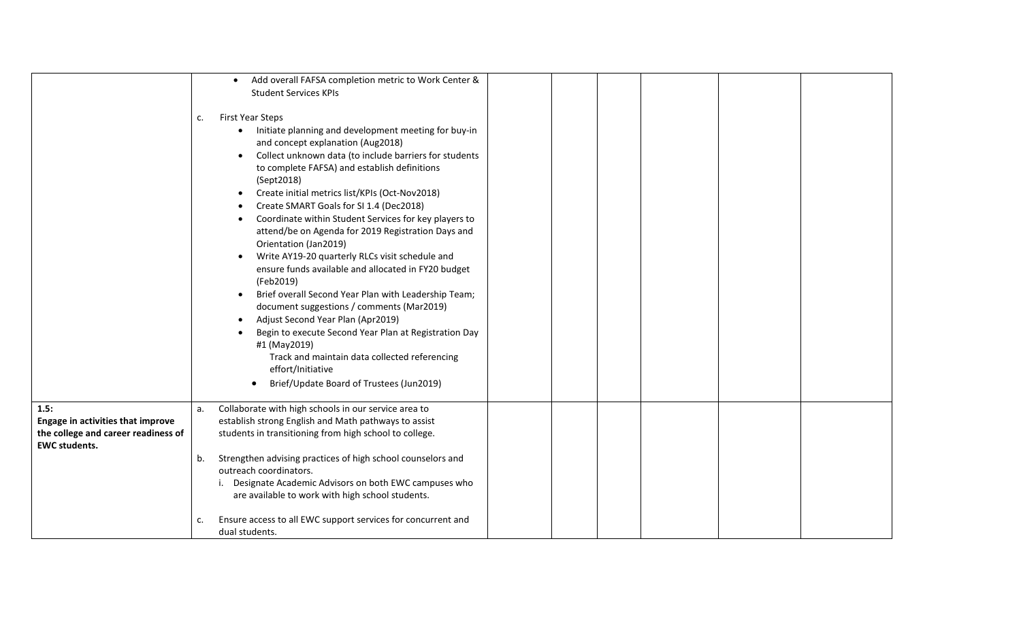|                                                                                                                 | Add overall FAFSA completion metric to Work Center &<br><b>Student Services KPIs</b>                                                                                                                                                                                                                                                                                                                                                                                                                                                                                                                                                                                                                                                                                                                                                                                                                                                                                                                    |
|-----------------------------------------------------------------------------------------------------------------|---------------------------------------------------------------------------------------------------------------------------------------------------------------------------------------------------------------------------------------------------------------------------------------------------------------------------------------------------------------------------------------------------------------------------------------------------------------------------------------------------------------------------------------------------------------------------------------------------------------------------------------------------------------------------------------------------------------------------------------------------------------------------------------------------------------------------------------------------------------------------------------------------------------------------------------------------------------------------------------------------------|
|                                                                                                                 | <b>First Year Steps</b><br>c.<br>Initiate planning and development meeting for buy-in<br>$\bullet$<br>and concept explanation (Aug2018)<br>Collect unknown data (to include barriers for students<br>$\bullet$<br>to complete FAFSA) and establish definitions<br>(Sept2018)<br>Create initial metrics list/KPIs (Oct-Nov2018)<br>Create SMART Goals for SI 1.4 (Dec2018)<br>Coordinate within Student Services for key players to<br>$\bullet$<br>attend/be on Agenda for 2019 Registration Days and<br>Orientation (Jan2019)<br>Write AY19-20 quarterly RLCs visit schedule and<br>$\bullet$<br>ensure funds available and allocated in FY20 budget<br>(Feb2019)<br>Brief overall Second Year Plan with Leadership Team;<br>document suggestions / comments (Mar2019)<br>Adjust Second Year Plan (Apr2019)<br>Begin to execute Second Year Plan at Registration Day<br>#1 (May2019)<br>Track and maintain data collected referencing<br>effort/Initiative<br>Brief/Update Board of Trustees (Jun2019) |
| 1.5:<br><b>Engage in activities that improve</b><br>the college and career readiness of<br><b>EWC students.</b> | Collaborate with high schools in our service area to<br>a.<br>establish strong English and Math pathways to assist<br>students in transitioning from high school to college.<br>Strengthen advising practices of high school counselors and<br>b.<br>outreach coordinators.<br>Designate Academic Advisors on both EWC campuses who<br>are available to work with high school students.<br>Ensure access to all EWC support services for concurrent and<br>C.<br>dual students.                                                                                                                                                                                                                                                                                                                                                                                                                                                                                                                         |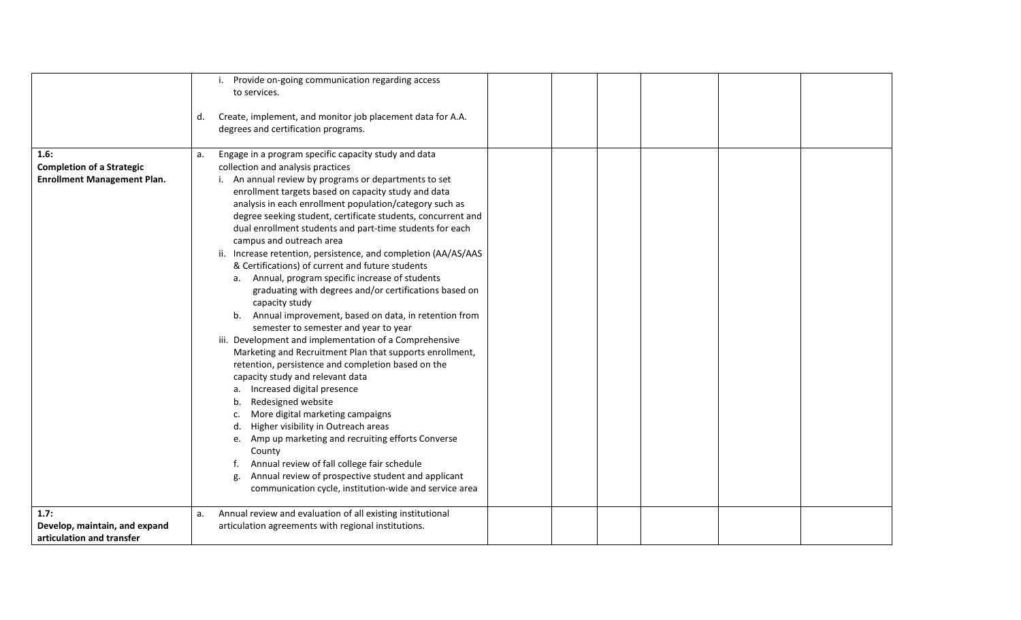|                                    |    | Provide on-going communication regarding access<br>i.          |  |  |  |
|------------------------------------|----|----------------------------------------------------------------|--|--|--|
|                                    |    | to services.                                                   |  |  |  |
|                                    |    |                                                                |  |  |  |
|                                    | d. | Create, implement, and monitor job placement data for A.A.     |  |  |  |
|                                    |    | degrees and certification programs.                            |  |  |  |
|                                    |    |                                                                |  |  |  |
| 1.6:                               | a. | Engage in a program specific capacity study and data           |  |  |  |
| <b>Completion of a Strategic</b>   |    | collection and analysis practices                              |  |  |  |
| <b>Enrollment Management Plan.</b> |    | An annual review by programs or departments to set             |  |  |  |
|                                    |    | enrollment targets based on capacity study and data            |  |  |  |
|                                    |    | analysis in each enrollment population/category such as        |  |  |  |
|                                    |    | degree seeking student, certificate students, concurrent and   |  |  |  |
|                                    |    | dual enrollment students and part-time students for each       |  |  |  |
|                                    |    | campus and outreach area                                       |  |  |  |
|                                    |    | ii. Increase retention, persistence, and completion (AA/AS/AAS |  |  |  |
|                                    |    | & Certifications) of current and future students               |  |  |  |
|                                    |    | a. Annual, program specific increase of students               |  |  |  |
|                                    |    | graduating with degrees and/or certifications based on         |  |  |  |
|                                    |    | capacity study                                                 |  |  |  |
|                                    |    | Annual improvement, based on data, in retention from<br>b.     |  |  |  |
|                                    |    | semester to semester and year to year                          |  |  |  |
|                                    |    | iii. Development and implementation of a Comprehensive         |  |  |  |
|                                    |    | Marketing and Recruitment Plan that supports enrollment,       |  |  |  |
|                                    |    | retention, persistence and completion based on the             |  |  |  |
|                                    |    | capacity study and relevant data                               |  |  |  |
|                                    |    | a. Increased digital presence                                  |  |  |  |
|                                    |    |                                                                |  |  |  |
|                                    |    | Redesigned website                                             |  |  |  |
|                                    |    | More digital marketing campaigns                               |  |  |  |
|                                    |    | Higher visibility in Outreach areas                            |  |  |  |
|                                    |    | Amp up marketing and recruiting efforts Converse<br>e.         |  |  |  |
|                                    |    | County                                                         |  |  |  |
|                                    |    | Annual review of fall college fair schedule                    |  |  |  |
|                                    |    | Annual review of prospective student and applicant<br>g.       |  |  |  |
|                                    |    | communication cycle, institution-wide and service area         |  |  |  |
| 1.7:                               | a. | Annual review and evaluation of all existing institutional     |  |  |  |
| Develop, maintain, and expand      |    | articulation agreements with regional institutions.            |  |  |  |
| articulation and transfer          |    |                                                                |  |  |  |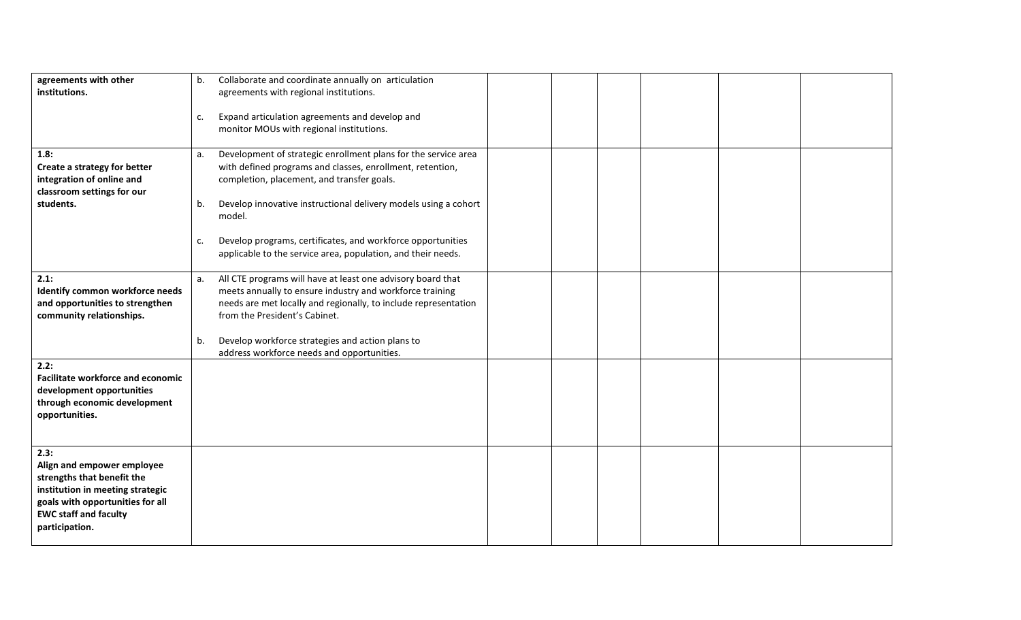| agreements with other                                                | b. | Collaborate and coordinate annually on articulation                                                                         |  |  |  |
|----------------------------------------------------------------------|----|-----------------------------------------------------------------------------------------------------------------------------|--|--|--|
| institutions.                                                        |    | agreements with regional institutions.                                                                                      |  |  |  |
|                                                                      |    |                                                                                                                             |  |  |  |
|                                                                      | c. | Expand articulation agreements and develop and                                                                              |  |  |  |
|                                                                      |    | monitor MOUs with regional institutions.                                                                                    |  |  |  |
| 1.8:                                                                 | a. | Development of strategic enrollment plans for the service area                                                              |  |  |  |
| Create a strategy for better                                         |    | with defined programs and classes, enrollment, retention,                                                                   |  |  |  |
| integration of online and                                            |    | completion, placement, and transfer goals.                                                                                  |  |  |  |
| classroom settings for our                                           |    |                                                                                                                             |  |  |  |
| students.                                                            | b. | Develop innovative instructional delivery models using a cohort                                                             |  |  |  |
|                                                                      |    | model.                                                                                                                      |  |  |  |
|                                                                      |    |                                                                                                                             |  |  |  |
|                                                                      | c. | Develop programs, certificates, and workforce opportunities<br>applicable to the service area, population, and their needs. |  |  |  |
|                                                                      |    |                                                                                                                             |  |  |  |
| 2.1:                                                                 | a. | All CTE programs will have at least one advisory board that                                                                 |  |  |  |
| Identify common workforce needs                                      |    | meets annually to ensure industry and workforce training                                                                    |  |  |  |
| and opportunities to strengthen                                      |    | needs are met locally and regionally, to include representation                                                             |  |  |  |
| community relationships.                                             |    | from the President's Cabinet.                                                                                               |  |  |  |
|                                                                      |    |                                                                                                                             |  |  |  |
|                                                                      | b. | Develop workforce strategies and action plans to                                                                            |  |  |  |
| 2.2:                                                                 |    | address workforce needs and opportunities.                                                                                  |  |  |  |
| <b>Facilitate workforce and economic</b>                             |    |                                                                                                                             |  |  |  |
| development opportunities                                            |    |                                                                                                                             |  |  |  |
| through economic development                                         |    |                                                                                                                             |  |  |  |
| opportunities.                                                       |    |                                                                                                                             |  |  |  |
|                                                                      |    |                                                                                                                             |  |  |  |
|                                                                      |    |                                                                                                                             |  |  |  |
| 2.3:                                                                 |    |                                                                                                                             |  |  |  |
| Align and empower employee                                           |    |                                                                                                                             |  |  |  |
| strengths that benefit the                                           |    |                                                                                                                             |  |  |  |
| institution in meeting strategic<br>goals with opportunities for all |    |                                                                                                                             |  |  |  |
| <b>EWC staff and faculty</b>                                         |    |                                                                                                                             |  |  |  |
| participation.                                                       |    |                                                                                                                             |  |  |  |
|                                                                      |    |                                                                                                                             |  |  |  |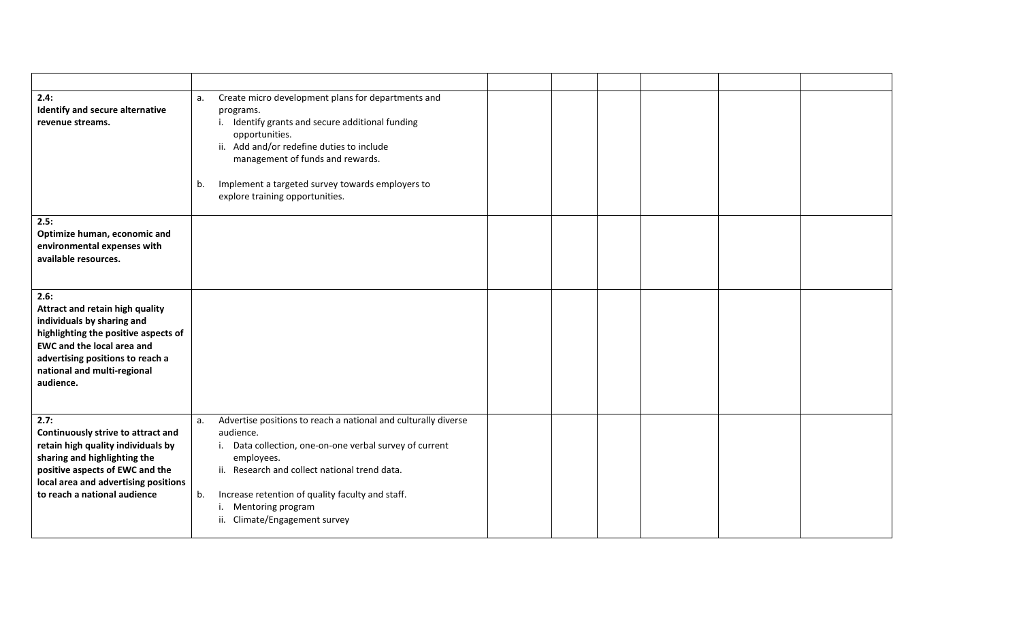| 2.4:<br>Identify and secure alternative<br>revenue streams.                                                                                                                                                                        | Create micro development plans for departments and<br>a.<br>programs.<br>i. Identify grants and secure additional funding<br>opportunities.<br>ii. Add and/or redefine duties to include<br>management of funds and rewards.<br>Implement a targeted survey towards employers to<br>b.<br>explore training opportunities.         |  |
|------------------------------------------------------------------------------------------------------------------------------------------------------------------------------------------------------------------------------------|-----------------------------------------------------------------------------------------------------------------------------------------------------------------------------------------------------------------------------------------------------------------------------------------------------------------------------------|--|
| 2.5:<br>Optimize human, economic and<br>environmental expenses with<br>available resources.                                                                                                                                        |                                                                                                                                                                                                                                                                                                                                   |  |
| 2.6:<br>Attract and retain high quality<br>individuals by sharing and<br>highlighting the positive aspects of<br><b>EWC and the local area and</b><br>advertising positions to reach a<br>national and multi-regional<br>audience. |                                                                                                                                                                                                                                                                                                                                   |  |
| 2.7:<br>Continuously strive to attract and<br>retain high quality individuals by<br>sharing and highlighting the<br>positive aspects of EWC and the<br>local area and advertising positions<br>to reach a national audience        | Advertise positions to reach a national and culturally diverse<br>a.<br>audience.<br>i. Data collection, one-on-one verbal survey of current<br>employees.<br>ii. Research and collect national trend data.<br>Increase retention of quality faculty and staff.<br>b.<br>Mentoring program<br>i.<br>ii. Climate/Engagement survey |  |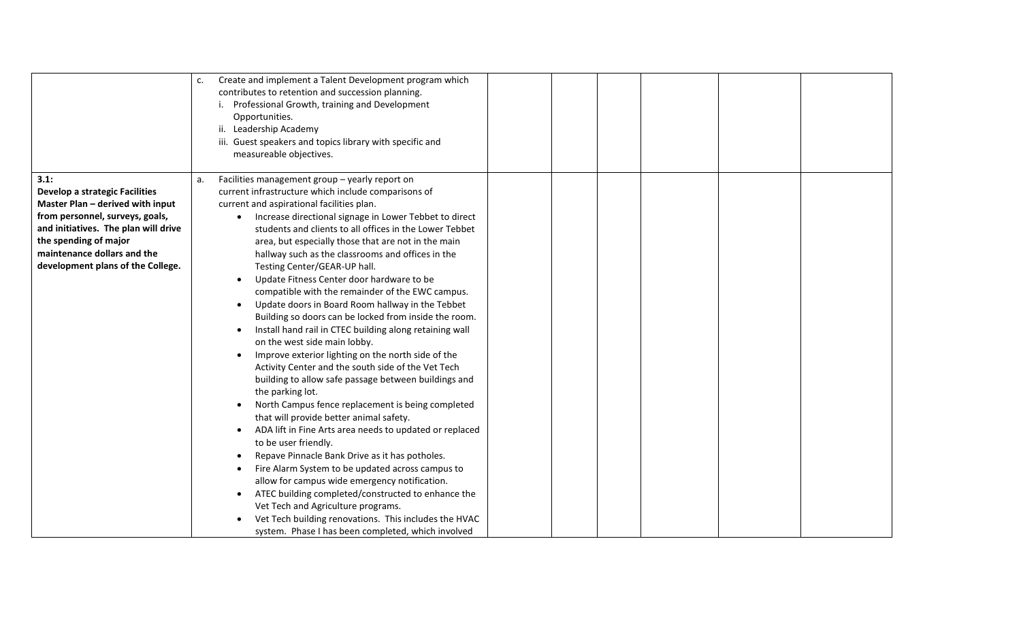|                                       | Create and implement a Talent Development program which<br>c.<br>contributes to retention and succession planning.<br>Professional Growth, training and Development<br>Opportunities.<br>ii. Leadership Academy<br>iii. Guest speakers and topics library with specific and<br>measureable objectives. |
|---------------------------------------|--------------------------------------------------------------------------------------------------------------------------------------------------------------------------------------------------------------------------------------------------------------------------------------------------------|
| 3.1:                                  | Facilities management group - yearly report on<br>a.                                                                                                                                                                                                                                                   |
| <b>Develop a strategic Facilities</b> | current infrastructure which include comparisons of                                                                                                                                                                                                                                                    |
| Master Plan - derived with input      | current and aspirational facilities plan.                                                                                                                                                                                                                                                              |
| from personnel, surveys, goals,       | Increase directional signage in Lower Tebbet to direct                                                                                                                                                                                                                                                 |
| and initiatives. The plan will drive  | students and clients to all offices in the Lower Tebbet                                                                                                                                                                                                                                                |
| the spending of major                 | area, but especially those that are not in the main                                                                                                                                                                                                                                                    |
| maintenance dollars and the           | hallway such as the classrooms and offices in the                                                                                                                                                                                                                                                      |
| development plans of the College.     | Testing Center/GEAR-UP hall.                                                                                                                                                                                                                                                                           |
|                                       | Update Fitness Center door hardware to be                                                                                                                                                                                                                                                              |
|                                       | compatible with the remainder of the EWC campus.                                                                                                                                                                                                                                                       |
|                                       | Update doors in Board Room hallway in the Tebbet                                                                                                                                                                                                                                                       |
|                                       | Building so doors can be locked from inside the room.                                                                                                                                                                                                                                                  |
|                                       | Install hand rail in CTEC building along retaining wall<br>on the west side main lobby.                                                                                                                                                                                                                |
|                                       | Improve exterior lighting on the north side of the                                                                                                                                                                                                                                                     |
|                                       | Activity Center and the south side of the Vet Tech                                                                                                                                                                                                                                                     |
|                                       | building to allow safe passage between buildings and                                                                                                                                                                                                                                                   |
|                                       | the parking lot.                                                                                                                                                                                                                                                                                       |
|                                       | North Campus fence replacement is being completed                                                                                                                                                                                                                                                      |
|                                       | that will provide better animal safety.                                                                                                                                                                                                                                                                |
|                                       | ADA lift in Fine Arts area needs to updated or replaced                                                                                                                                                                                                                                                |
|                                       | to be user friendly.                                                                                                                                                                                                                                                                                   |
|                                       | Repave Pinnacle Bank Drive as it has potholes.                                                                                                                                                                                                                                                         |
|                                       | Fire Alarm System to be updated across campus to                                                                                                                                                                                                                                                       |
|                                       | allow for campus wide emergency notification.                                                                                                                                                                                                                                                          |
|                                       | ATEC building completed/constructed to enhance the<br>$\bullet$                                                                                                                                                                                                                                        |
|                                       | Vet Tech and Agriculture programs.                                                                                                                                                                                                                                                                     |
|                                       | Vet Tech building renovations. This includes the HVAC                                                                                                                                                                                                                                                  |
|                                       | system. Phase I has been completed, which involved                                                                                                                                                                                                                                                     |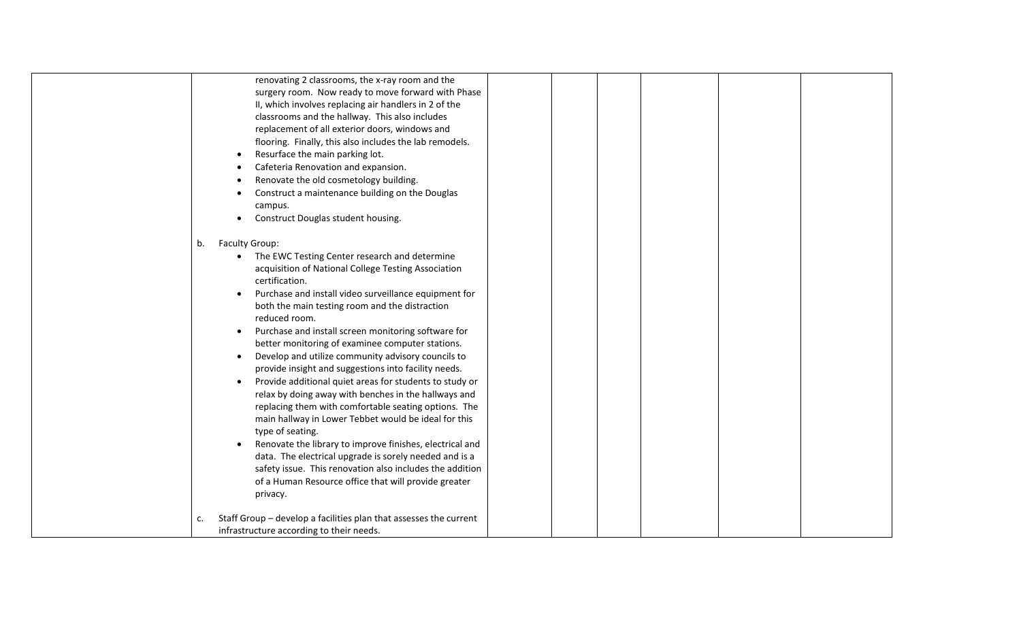| renovating 2 classrooms, the x-ray room and the                         |
|-------------------------------------------------------------------------|
| surgery room. Now ready to move forward with Phase                      |
| II, which involves replacing air handlers in 2 of the                   |
| classrooms and the hallway. This also includes                          |
| replacement of all exterior doors, windows and                          |
| flooring. Finally, this also includes the lab remodels.                 |
| Resurface the main parking lot.                                         |
| Cafeteria Renovation and expansion.                                     |
| Renovate the old cosmetology building.                                  |
| Construct a maintenance building on the Douglas                         |
| campus.                                                                 |
| Construct Douglas student housing.                                      |
|                                                                         |
| Faculty Group:<br>b.                                                    |
| The EWC Testing Center research and determine                           |
| acquisition of National College Testing Association                     |
| certification.                                                          |
| Purchase and install video surveillance equipment for                   |
| both the main testing room and the distraction                          |
| reduced room.                                                           |
| Purchase and install screen monitoring software for                     |
| better monitoring of examinee computer stations.                        |
| Develop and utilize community advisory councils to                      |
| provide insight and suggestions into facility needs.                    |
| Provide additional quiet areas for students to study or                 |
| relax by doing away with benches in the hallways and                    |
| replacing them with comfortable seating options. The                    |
| main hallway in Lower Tebbet would be ideal for this                    |
| type of seating.                                                        |
| Renovate the library to improve finishes, electrical and                |
| data. The electrical upgrade is sorely needed and is a                  |
| safety issue. This renovation also includes the addition                |
| of a Human Resource office that will provide greater                    |
| privacy.                                                                |
|                                                                         |
| Staff Group - develop a facilities plan that assesses the current<br>c. |
| infrastructure according to their needs.                                |
|                                                                         |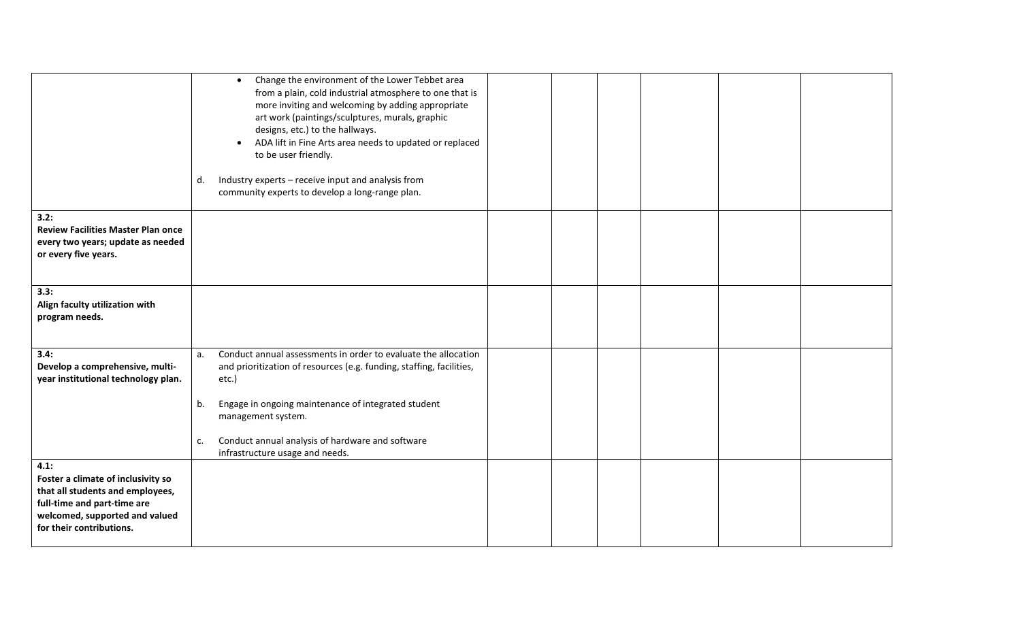|                                                                                                                                                                             | Change the environment of the Lower Tebbet area<br>$\bullet$<br>from a plain, cold industrial atmosphere to one that is<br>more inviting and welcoming by adding appropriate<br>art work (paintings/sculptures, murals, graphic<br>designs, etc.) to the hallways.<br>ADA lift in Fine Arts area needs to updated or replaced<br>$\bullet$ |  |
|-----------------------------------------------------------------------------------------------------------------------------------------------------------------------------|--------------------------------------------------------------------------------------------------------------------------------------------------------------------------------------------------------------------------------------------------------------------------------------------------------------------------------------------|--|
|                                                                                                                                                                             | to be user friendly.<br>Industry experts - receive input and analysis from<br>d.<br>community experts to develop a long-range plan.                                                                                                                                                                                                        |  |
| 3.2:<br><b>Review Facilities Master Plan once</b><br>every two years; update as needed<br>or every five years.                                                              |                                                                                                                                                                                                                                                                                                                                            |  |
| 3.3:<br>Align faculty utilization with<br>program needs.                                                                                                                    |                                                                                                                                                                                                                                                                                                                                            |  |
| 3.4:<br>Develop a comprehensive, multi-<br>year institutional technology plan.                                                                                              | Conduct annual assessments in order to evaluate the allocation<br>a.<br>and prioritization of resources (e.g. funding, staffing, facilities,<br>etc.)<br>Engage in ongoing maintenance of integrated student<br>b.<br>management system.<br>Conduct annual analysis of hardware and software<br>c.<br>infrastructure usage and needs.      |  |
| 4.1:<br>Foster a climate of inclusivity so<br>that all students and employees,<br>full-time and part-time are<br>welcomed, supported and valued<br>for their contributions. |                                                                                                                                                                                                                                                                                                                                            |  |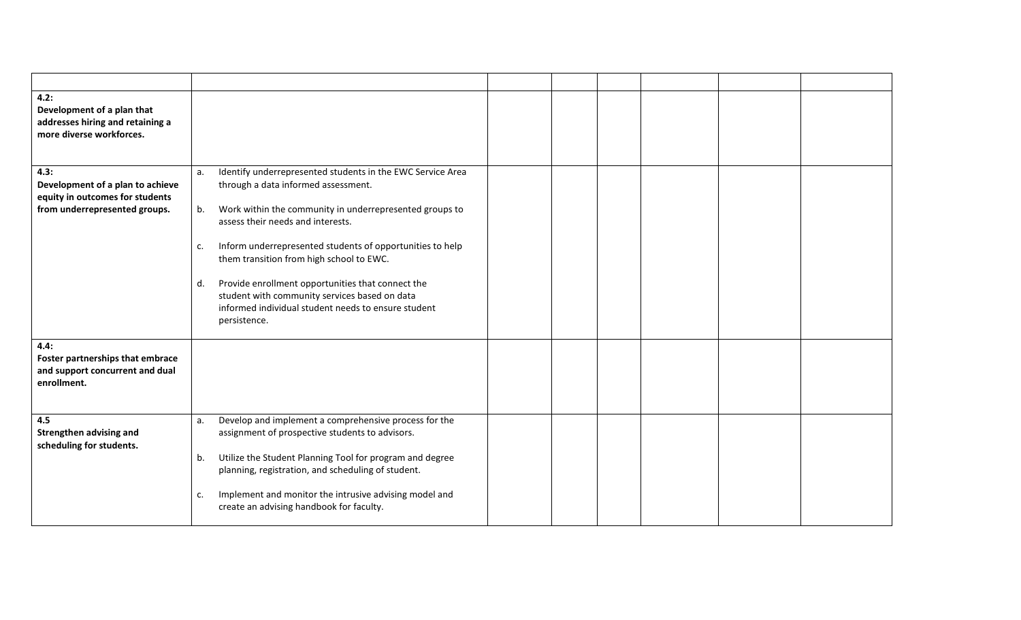| 4.2:<br>Development of a plan that<br>addresses hiring and retaining a<br>more diverse workforces.           |                                                                                                                                                                                                                                                                                                                                                                                                                                                                                                                 |  |
|--------------------------------------------------------------------------------------------------------------|-----------------------------------------------------------------------------------------------------------------------------------------------------------------------------------------------------------------------------------------------------------------------------------------------------------------------------------------------------------------------------------------------------------------------------------------------------------------------------------------------------------------|--|
| 4.3:<br>Development of a plan to achieve<br>equity in outcomes for students<br>from underrepresented groups. | Identify underrepresented students in the EWC Service Area<br>а.<br>through a data informed assessment.<br>Work within the community in underrepresented groups to<br>b.<br>assess their needs and interests.<br>Inform underrepresented students of opportunities to help<br>c.<br>them transition from high school to EWC.<br>Provide enrollment opportunities that connect the<br>d.<br>student with community services based on data<br>informed individual student needs to ensure student<br>persistence. |  |
| 4.4:<br>Foster partnerships that embrace<br>and support concurrent and dual<br>enrollment.                   |                                                                                                                                                                                                                                                                                                                                                                                                                                                                                                                 |  |
| 4.5<br><b>Strengthen advising and</b><br>scheduling for students.                                            | Develop and implement a comprehensive process for the<br>a.<br>assignment of prospective students to advisors.<br>Utilize the Student Planning Tool for program and degree<br>b.<br>planning, registration, and scheduling of student.<br>Implement and monitor the intrusive advising model and<br>c.<br>create an advising handbook for faculty.                                                                                                                                                              |  |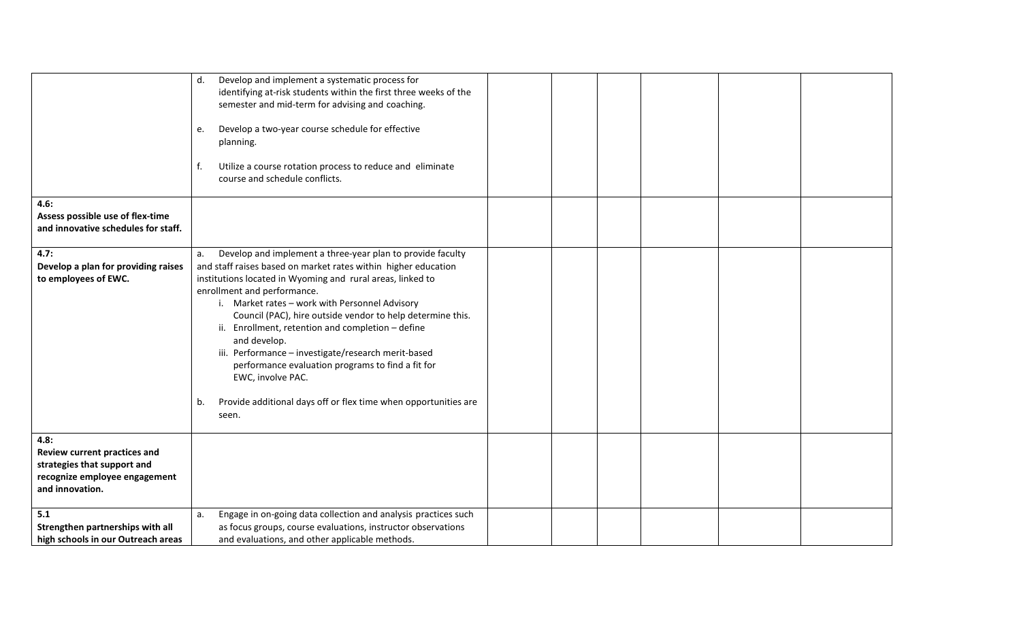| 4.6:<br>Assess possible use of flex-time                                                                                | Develop and implement a systematic process for<br>d.<br>identifying at-risk students within the first three weeks of the<br>semester and mid-term for advising and coaching.<br>Develop a two-year course schedule for effective<br>e.<br>planning.<br>f.<br>Utilize a course rotation process to reduce and eliminate<br>course and schedule conflicts.                                                                                                                                                                                                                                                                                |
|-------------------------------------------------------------------------------------------------------------------------|-----------------------------------------------------------------------------------------------------------------------------------------------------------------------------------------------------------------------------------------------------------------------------------------------------------------------------------------------------------------------------------------------------------------------------------------------------------------------------------------------------------------------------------------------------------------------------------------------------------------------------------------|
| and innovative schedules for staff.                                                                                     |                                                                                                                                                                                                                                                                                                                                                                                                                                                                                                                                                                                                                                         |
| 4.7:<br>Develop a plan for providing raises<br>to employees of EWC.                                                     | Develop and implement a three-year plan to provide faculty<br>a.<br>and staff raises based on market rates within higher education<br>institutions located in Wyoming and rural areas, linked to<br>enrollment and performance.<br>i. Market rates - work with Personnel Advisory<br>Council (PAC), hire outside vendor to help determine this.<br>ii. Enrollment, retention and completion - define<br>and develop.<br>iii. Performance - investigate/research merit-based<br>performance evaluation programs to find a fit for<br>EWC, involve PAC.<br>Provide additional days off or flex time when opportunities are<br>b.<br>seen. |
| 4.8:<br>Review current practices and<br>strategies that support and<br>recognize employee engagement<br>and innovation. |                                                                                                                                                                                                                                                                                                                                                                                                                                                                                                                                                                                                                                         |
| 5.1<br>Strengthen partnerships with all<br>high schools in our Outreach areas                                           | Engage in on-going data collection and analysis practices such<br>a.<br>as focus groups, course evaluations, instructor observations<br>and evaluations, and other applicable methods.                                                                                                                                                                                                                                                                                                                                                                                                                                                  |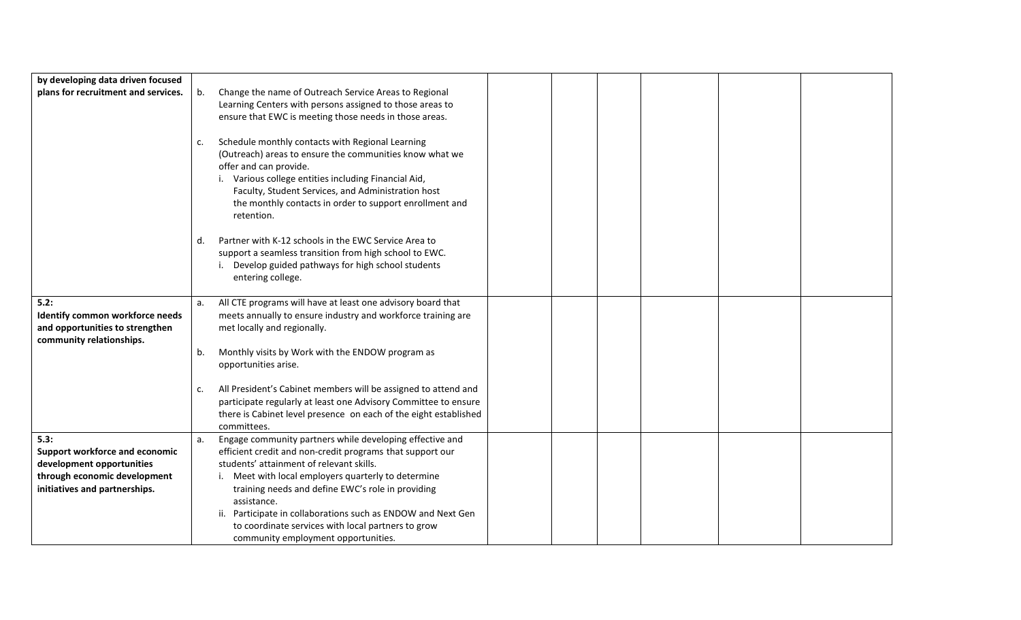| by developing data driven focused                                  |    |                                                                                                       |  |  |  |
|--------------------------------------------------------------------|----|-------------------------------------------------------------------------------------------------------|--|--|--|
| plans for recruitment and services.                                | b. | Change the name of Outreach Service Areas to Regional                                                 |  |  |  |
|                                                                    |    | Learning Centers with persons assigned to those areas to                                              |  |  |  |
|                                                                    |    | ensure that EWC is meeting those needs in those areas.                                                |  |  |  |
|                                                                    | c. | Schedule monthly contacts with Regional Learning                                                      |  |  |  |
|                                                                    |    | (Outreach) areas to ensure the communities know what we                                               |  |  |  |
|                                                                    |    | offer and can provide.                                                                                |  |  |  |
|                                                                    |    | i. Various college entities including Financial Aid,                                                  |  |  |  |
|                                                                    |    | Faculty, Student Services, and Administration host                                                    |  |  |  |
|                                                                    |    | the monthly contacts in order to support enrollment and<br>retention.                                 |  |  |  |
|                                                                    |    |                                                                                                       |  |  |  |
|                                                                    | d. | Partner with K-12 schools in the EWC Service Area to                                                  |  |  |  |
|                                                                    |    | support a seamless transition from high school to EWC.                                                |  |  |  |
|                                                                    |    | i. Develop guided pathways for high school students                                                   |  |  |  |
|                                                                    |    | entering college.                                                                                     |  |  |  |
| 5.2:                                                               | a. | All CTE programs will have at least one advisory board that                                           |  |  |  |
| Identify common workforce needs                                    |    | meets annually to ensure industry and workforce training are                                          |  |  |  |
| and opportunities to strengthen                                    |    | met locally and regionally.                                                                           |  |  |  |
| community relationships.                                           |    |                                                                                                       |  |  |  |
|                                                                    | b. | Monthly visits by Work with the ENDOW program as                                                      |  |  |  |
|                                                                    |    | opportunities arise.                                                                                  |  |  |  |
|                                                                    | c. | All President's Cabinet members will be assigned to attend and                                        |  |  |  |
|                                                                    |    | participate regularly at least one Advisory Committee to ensure                                       |  |  |  |
|                                                                    |    | there is Cabinet level presence on each of the eight established                                      |  |  |  |
|                                                                    |    | committees.                                                                                           |  |  |  |
| 5.3:                                                               | a. | Engage community partners while developing effective and                                              |  |  |  |
| <b>Support workforce and economic</b><br>development opportunities |    | efficient credit and non-credit programs that support our<br>students' attainment of relevant skills. |  |  |  |
| through economic development                                       |    | Meet with local employers quarterly to determine                                                      |  |  |  |
| initiatives and partnerships.                                      |    | training needs and define EWC's role in providing                                                     |  |  |  |
|                                                                    |    | assistance.                                                                                           |  |  |  |
|                                                                    |    | ii. Participate in collaborations such as ENDOW and Next Gen                                          |  |  |  |
|                                                                    |    | to coordinate services with local partners to grow                                                    |  |  |  |
|                                                                    |    | community employment opportunities.                                                                   |  |  |  |